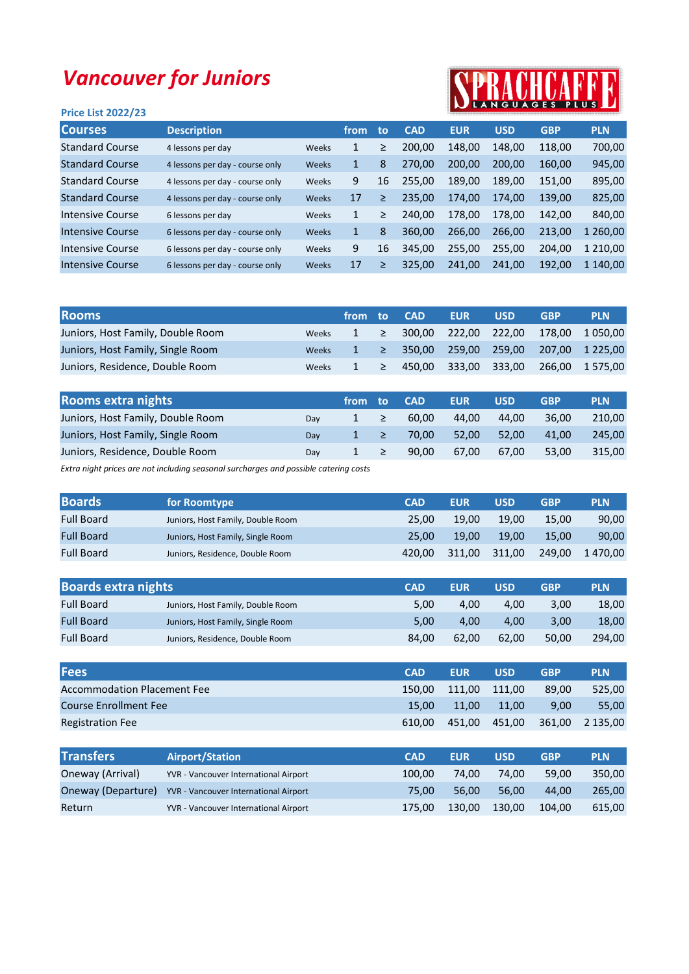## Vancouver for Juniors

## Price List 2022/23



| <b>Courses</b>         | <b>Description</b>              |       | from         | to | <b>CAD</b> | <b>EUR</b> | <b>USD</b> | <b>GBP</b> | <b>PLN</b> |
|------------------------|---------------------------------|-------|--------------|----|------------|------------|------------|------------|------------|
| <b>Standard Course</b> | 4 lessons per day               | Weeks | 1            | ≥  | 200.00     | 148,00     | 148.00     | 118,00     | 700,00     |
| <b>Standard Course</b> | 4 lessons per day - course only | Weeks | $\mathbf{1}$ | 8  | 270,00     | 200,00     | 200.00     | 160,00     | 945,00     |
| <b>Standard Course</b> | 4 lessons per day - course only | Weeks | 9            | 16 | 255,00     | 189.00     | 189.00     | 151,00     | 895,00     |
| <b>Standard Course</b> | 4 lessons per day - course only | Weeks | 17           | ≥  | 235,00     | 174,00     | 174.00     | 139,00     | 825,00     |
| Intensive Course       | 6 lessons per day               | Weeks | $\mathbf{1}$ | ≥  | 240.00     | 178.00     | 178.00     | 142,00     | 840,00     |
| Intensive Course       | 6 lessons per day - course only | Weeks | $\mathbf{1}$ | 8  | 360,00     | 266,00     | 266,00     | 213,00     | 260,00     |
| Intensive Course       | 6 lessons per day - course only | Weeks | 9            | 16 | 345,00     | 255,00     | 255,00     | 204,00     | 1 210,00   |
| Intensive Course       | 6 lessons per day - course only | Weeks | 17           | ≥  | 325,00     | 241,00     | 241.00     | 192,00     | 1 140,00   |
|                        |                                 |       |              |    |            |            |            |            |            |

| <b>Rooms</b>                      |              | ′from .  | to: | <b>CAD</b> | <b>EUR</b>           | <b>USD</b> | <b>GBP</b> | <b>PLN</b>                                    |
|-----------------------------------|--------------|----------|-----|------------|----------------------|------------|------------|-----------------------------------------------|
| Juniors, Host Family, Double Room | Weeks        |          |     |            |                      |            |            | $1 \geq 300.00$ 222.00 222.00 178.00 1050.00  |
| Juniors, Host Family, Single Room | <b>Weeks</b> |          |     |            |                      |            |            | $1 \geq 350,00$ 259,00 259,00 207,00 1 225,00 |
| Juniors, Residence, Double Room   | Weeks        | $1 \geq$ |     |            | 450,00 333,00 333,00 |            |            | 266,00 1 575,00                               |

| <b>Rooms extra nights</b>         |     | from | to:    | <b>CAD</b> | <b>EUR</b> | <b>USD</b> | <b>GBP</b> | <b>PLN</b> |
|-----------------------------------|-----|------|--------|------------|------------|------------|------------|------------|
| Juniors, Host Family, Double Room | Dav |      | $\geq$ | 60.00      | 44.00      | 44.00      | 36.00      | 210.00     |
| Juniors, Host Family, Single Room | Dav |      | - ≥    | 70.00      | 52.00      | 52.00      | 41.00      | 245.00     |
| Juniors, Residence, Double Room   | Dav |      |        | 90.00      | 67.00      | 67.00      | 53.00      | 315.00     |

Extra night prices are not including seasonal surcharges and possible catering costs

| <b>Boards</b>     | for Roomtype                      | <b>CAD</b> | <b>EUR</b> | USD    | <b>GBP</b> | <b>PLN</b> |
|-------------------|-----------------------------------|------------|------------|--------|------------|------------|
| <b>Full Board</b> | Juniors, Host Family, Double Room | 25.00      | 19.00      | 19.00  | 15.00      | 90,00      |
| <b>Full Board</b> | Juniors, Host Family, Single Room | 25.00      | 19.00      | 19.00  | 15.00      | 90,00      |
| <b>Full Board</b> | Juniors, Residence, Double Room   | 420.00     | 311.00     | 311.00 | 249,00     | 1470.00    |

| <b>Boards extra nights</b> |                                   | <b>CAD</b> | <b>EUR</b> | <b>USD</b> | <b>GBP</b> | <b>PLN</b> |
|----------------------------|-----------------------------------|------------|------------|------------|------------|------------|
| <b>Full Board</b>          | Juniors, Host Family, Double Room | 5.00       | 4.00       | 4.00       | 3.00       | 18.00      |
| <b>Full Board</b>          | Juniors, Host Family, Single Room | 5.00       | 4.00       | 4.00       | 3.00       | 18.00      |
| <b>Full Board</b>          | Juniors, Residence, Double Room   | 84.00      | 62.00      | 62.00      | 50.00      | 294.00     |

| <b>Fees</b>                        | <b>CAD</b> | <b>EUR</b> | <b>USD</b> | <b>GBP</b> | <b>PLN</b> |
|------------------------------------|------------|------------|------------|------------|------------|
| <b>Accommodation Placement Fee</b> | 150.00     | 111.00     | 111.00     | 89.00      | 525.00     |
| <b>Course Enrollment Fee</b>       | 15.00      | 11.00      | 11.00      | 9.00       | 55.00      |
| <b>Registration Fee</b>            | 610.00     | 451.00     | 451.00     | 361.00     | 2 135.00   |

| <b>Transfers</b>   | <b>Airport/Station</b>                       | <b>CAD</b> | <b>EUR</b> | <b>USD</b> | <b>GBP</b> | <b>PLN</b> |
|--------------------|----------------------------------------------|------------|------------|------------|------------|------------|
| Oneway (Arrival)   | YVR - Vancouver International Airport        | 100.00     | 74.00      | 74.00      | 59.00      | 350.00     |
| Oneway (Departure) | <b>YVR - Vancouver International Airport</b> | 75.00      | 56.00      | 56.00      | 44.00      | 265.00     |
| Return             | YVR - Vancouver International Airport        | 175.00     | 130.00     | 130.00     | 104.00     | 615,00     |